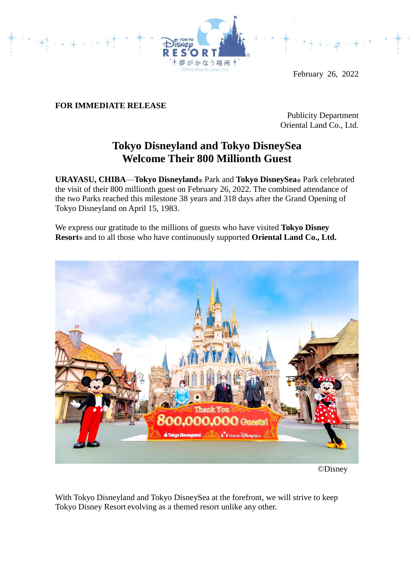

February 26, 2022

# **FOR IMMEDIATE RELEASE**

Publicity Department Oriental Land Co., Ltd.

# **Tokyo Disneyland and Tokyo DisneySea Welcome Their 800 Millionth Guest**

**URAYASU, CHIBA**—**Tokyo Disneyland®** Park and **Tokyo DisneySea®** Park celebrated the visit of their 800 millionth guest on February 26, 2022. The combined attendance of the two Parks reached this milestone 38 years and 318 days after the Grand Opening of Tokyo Disneyland on April 15, 1983.

We express our gratitude to the millions of guests who have visited **Tokyo Disney Resort®** and to all those who have continuously supported **Oriental Land Co., Ltd.**



©Disney

With Tokyo Disneyland and Tokyo DisneySea at the forefront, we will strive to keep Tokyo Disney Resort evolving as a themed resort unlike any other.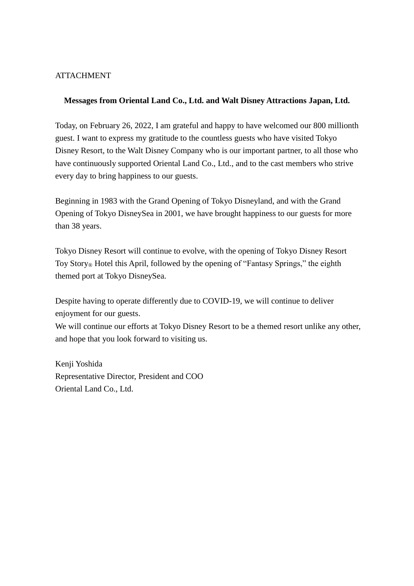## **ATTACHMENT**

## **Messages from Oriental Land Co., Ltd. and Walt Disney Attractions Japan, Ltd.**

Today, on February 26, 2022, I am grateful and happy to have welcomed our 800 millionth guest. I want to express my gratitude to the countless guests who have visited Tokyo Disney Resort, to the Walt Disney Company who is our important partner, to all those who have continuously supported Oriental Land Co., Ltd., and to the cast members who strive every day to bring happiness to our guests.

Beginning in 1983 with the Grand Opening of Tokyo Disneyland, and with the Grand Opening of Tokyo DisneySea in 2001, we have brought happiness to our guests for more than 38 years.

Tokyo Disney Resort will continue to evolve, with the opening of Tokyo Disney Resort Toy Story® Hotel this April, followed by the opening of "Fantasy Springs," the eighth themed port at Tokyo DisneySea.

Despite having to operate differently due to COVID-19, we will continue to deliver enjoyment for our guests.

We will continue our efforts at Tokyo Disney Resort to be a themed resort unlike any other, and hope that you look forward to visiting us.

Kenji Yoshida Representative Director, President and COO Oriental Land Co., Ltd.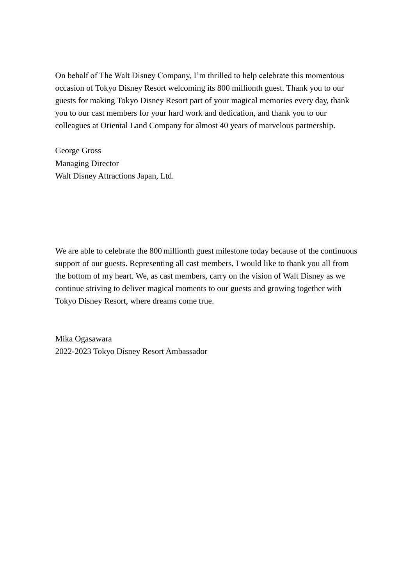On behalf of The Walt Disney Company, I'm thrilled to help celebrate this momentous occasion of Tokyo Disney Resort welcoming its 800 millionth guest. Thank you to our guests for making Tokyo Disney Resort part of your magical memories every day, thank you to our cast members for your hard work and dedication, and thank you to our colleagues at Oriental Land Company for almost 40 years of marvelous partnership.

George Gross Managing Director Walt Disney Attractions Japan, Ltd.

We are able to celebrate the 800 millionth guest milestone today because of the continuous support of our guests. Representing all cast members, I would like to thank you all from the bottom of my heart. We, as cast members, carry on the vision of Walt Disney as we continue striving to deliver magical moments to our guests and growing together with Tokyo Disney Resort, where dreams come true.

Mika Ogasawara 2022-2023 Tokyo Disney Resort Ambassador